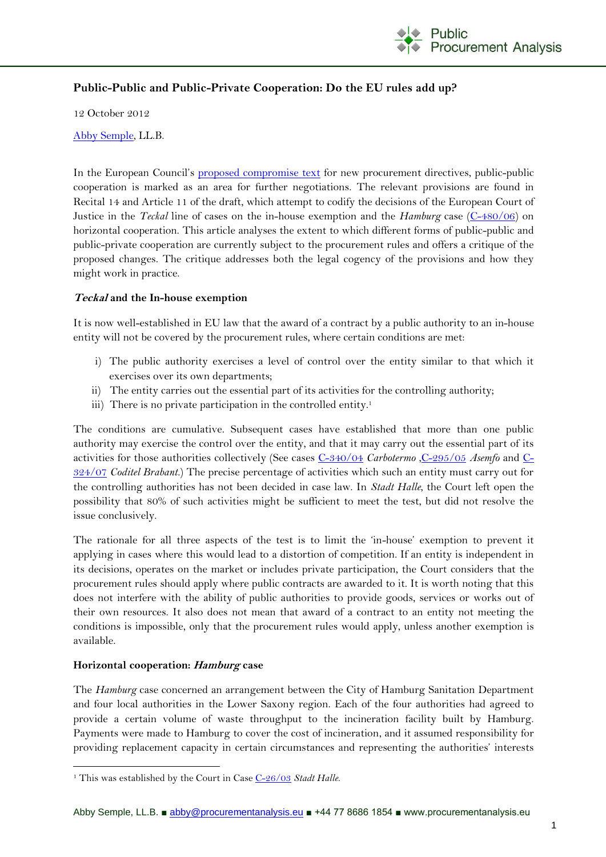

# **Public-Public and Public-Private Cooperation: Do the EU rules add up?**

12 October 2012

[Abby Semple,](mailto:abby@procurementanalysis.eu) LL.B.

In the European Council's [proposed compromise text](http://register.consilium.europa.eu/pdf/en/12/st12/st12878.en12.pdf) for new procurement directives, public-public cooperation is marked as an area for further negotiations. The relevant provisions are found in Recital 14 and Article 11 of the draft, which attempt to codify the decisions of the European Court of Justice in the *Teckal* line of cases on the in-house exemption and the *Hamburg* case [\(C-480/06\)](http://curia.europa.eu/juris/liste.jsf?language=en&num=C-480/06) on horizontal cooperation. This article analyses the extent to which different forms of public-public and public-private cooperation are currently subject to the procurement rules and offers a critique of the proposed changes. The critique addresses both the legal cogency of the provisions and how they might work in practice.

### **Teckal and the In-house exemption**

It is now well-established in EU law that the award of a contract by a public authority to an in-house entity will not be covered by the procurement rules, where certain conditions are met:

- i) The public authority exercises a level of control over the entity similar to that which it exercises over its own departments;
- ii) The entity carries out the essential part of its activities for the controlling authority;
- iii) There is no private participation in the controlled entity.<sup>1</sup>

The conditions are cumulative. Subsequent cases have established that more than one public authority may exercise the control over the entity, and that it may carry out the essential part of its activities for those authorities collectively (See cases [C-340/04](http://curia.europa.eu/juris/liste.jsf?language=en&num=C-340/04) *Carbotermo* [,C-295/05](http://curia.europa.eu/juris/liste.jsf?language=en&num=C-295/05) *Asemfo* and [C-](http://curia.europa.eu/juris/liste.jsf?language=en&num=C-324/07)[324/07](http://curia.europa.eu/juris/liste.jsf?language=en&num=C-324/07) *Coditel Brabant.*) The precise percentage of activities which such an entity must carry out for the controlling authorities has not been decided in case law. In *Stadt Halle*, the Court left open the possibility that 80% of such activities might be sufficient to meet the test, but did not resolve the issue conclusively.

The rationale for all three aspects of the test is to limit the 'in-house' exemption to prevent it applying in cases where this would lead to a distortion of competition. If an entity is independent in its decisions, operates on the market or includes private participation, the Court considers that the procurement rules should apply where public contracts are awarded to it. It is worth noting that this does not interfere with the ability of public authorities to provide goods, services or works out of their own resources. It also does not mean that award of a contract to an entity not meeting the conditions is impossible, only that the procurement rules would apply, unless another exemption is available.

#### **Horizontal cooperation: Hamburg case**

<u>.</u>

The *Hamburg* case concerned an arrangement between the City of Hamburg Sanitation Department and four local authorities in the Lower Saxony region. Each of the four authorities had agreed to provide a certain volume of waste throughput to the incineration facility built by Hamburg. Payments were made to Hamburg to cover the cost of incineration, and it assumed responsibility for providing replacement capacity in certain circumstances and representing the authorities' interests

<sup>1</sup> This was established by the Court in Case [C-26/03](http://curia.europa.eu/juris/liste.jsf?language=en&num=C-26/03) *Stadt Halle*.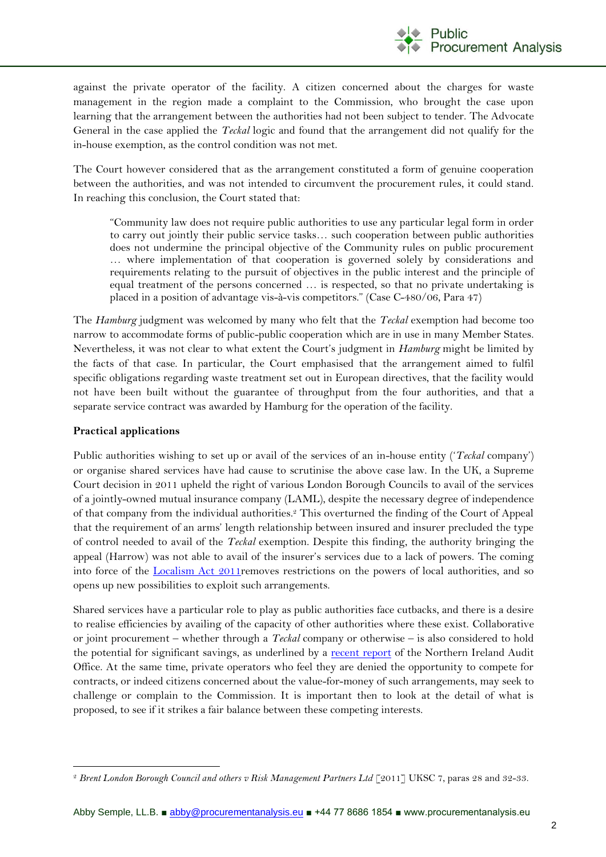

against the private operator of the facility. A citizen concerned about the charges for waste management in the region made a complaint to the Commission, who brought the case upon learning that the arrangement between the authorities had not been subject to tender. The Advocate General in the case applied the *Teckal* logic and found that the arrangement did not qualify for the in-house exemption, as the control condition was not met.

The Court however considered that as the arrangement constituted a form of genuine cooperation between the authorities, and was not intended to circumvent the procurement rules, it could stand. In reaching this conclusion, the Court stated that:

"Community law does not require public authorities to use any particular legal form in order to carry out jointly their public service tasks… such cooperation between public authorities does not undermine the principal objective of the Community rules on public procurement … where implementation of that cooperation is governed solely by considerations and requirements relating to the pursuit of objectives in the public interest and the principle of equal treatment of the persons concerned … is respected, so that no private undertaking is placed in a position of advantage vis-à-vis competitors." (Case C-480/06, Para 47)

The *Hamburg* judgment was welcomed by many who felt that the *Teckal* exemption had become too narrow to accommodate forms of public-public cooperation which are in use in many Member States. Nevertheless, it was not clear to what extent the Court's judgment in *Hamburg* might be limited by the facts of that case. In particular, the Court emphasised that the arrangement aimed to fulfil specific obligations regarding waste treatment set out in European directives, that the facility would not have been built without the guarantee of throughput from the four authorities, and that a separate service contract was awarded by Hamburg for the operation of the facility.

## **Practical applications**

Public authorities wishing to set up or avail of the services of an in-house entity ('*Teckal* company') or organise shared services have had cause to scrutinise the above case law. In the UK, a Supreme Court decision in 2011 upheld the right of various London Borough Councils to avail of the services of a jointly-owned mutual insurance company (LAML), despite the necessary degree of independence of that company from the individual authorities. <sup>2</sup> This overturned the finding of the Court of Appeal that the requirement of an arms' length relationship between insured and insurer precluded the type of control needed to avail of the *Teckal* exemption. Despite this finding, the authority bringing the appeal (Harrow) was not able to avail of the insurer's services due to a lack of powers. The coming into force of the [Localism Act 2011r](http://www.legislation.gov.uk/ukpga/2011/20/contents/enacted)emoves restrictions on the powers of local authorities, and so opens up new possibilities to exploit such arrangements.

Shared services have a particular role to play as public authorities face cutbacks, and there is a desire to realise efficiencies by availing of the capacity of other authorities where these exist. Collaborative or joint procurement – whether through a *Teckal* company or otherwise – is also considered to hold the potential for significant savings, as underlined by a [recent report](http://www.niauditoffice.gov.uk/index/publications/recent_reports/collaborative_procurement.htm) of the Northern Ireland Audit Office. At the same time, private operators who feel they are denied the opportunity to compete for contracts, or indeed citizens concerned about the value-for-money of such arrangements, may seek to challenge or complain to the Commission. It is important then to look at the detail of what is proposed, to see if it strikes a fair balance between these competing interests.

<sup>&</sup>lt;u>.</u> <sup>2</sup> *Brent London Borough Council and others v Risk Management Partners Ltd* [2011] UKSC 7, paras 28 and 32-33.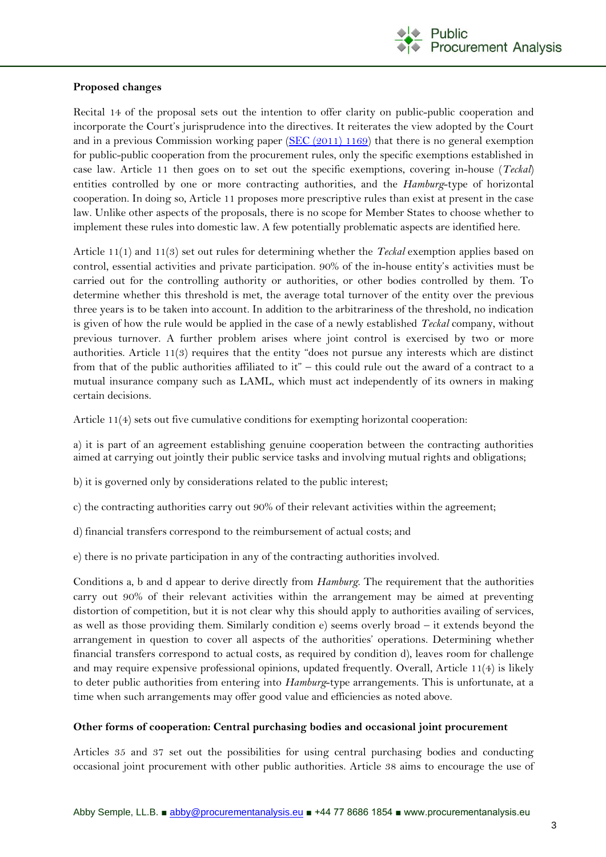

## **Proposed changes**

Recital 14 of the proposal sets out the intention to offer clarity on public-public cooperation and incorporate the Court's jurisprudence into the directives. It reiterates the view adopted by the Court and in a previous Commission working paper (SEC  $(2011)$  1169) that there is no general exemption for public-public cooperation from the procurement rules, only the specific exemptions established in case law. Article 11 then goes on to set out the specific exemptions, covering in-house (*Teckal*) entities controlled by one or more contracting authorities, and the *Hamburg*-type of horizontal cooperation. In doing so, Article 11 proposes more prescriptive rules than exist at present in the case law. Unlike other aspects of the proposals, there is no scope for Member States to choose whether to implement these rules into domestic law. A few potentially problematic aspects are identified here.

Article 11(1) and 11(3) set out rules for determining whether the *Teckal* exemption applies based on control, essential activities and private participation. 90% of the in-house entity's activities must be carried out for the controlling authority or authorities, or other bodies controlled by them. To determine whether this threshold is met, the average total turnover of the entity over the previous three years is to be taken into account. In addition to the arbitrariness of the threshold, no indication is given of how the rule would be applied in the case of a newly established *Teckal* company, without previous turnover. A further problem arises where joint control is exercised by two or more authorities. Article 11(3) requires that the entity "does not pursue any interests which are distinct from that of the public authorities affiliated to it" – this could rule out the award of a contract to a mutual insurance company such as LAML, which must act independently of its owners in making certain decisions.

Article 11(4) sets out five cumulative conditions for exempting horizontal cooperation:

a) it is part of an agreement establishing genuine cooperation between the contracting authorities aimed at carrying out jointly their public service tasks and involving mutual rights and obligations;

- b) it is governed only by considerations related to the public interest;
- c) the contracting authorities carry out 90% of their relevant activities within the agreement;
- d) financial transfers correspond to the reimbursement of actual costs; and
- e) there is no private participation in any of the contracting authorities involved.

Conditions a, b and d appear to derive directly from *Hamburg*. The requirement that the authorities carry out 90% of their relevant activities within the arrangement may be aimed at preventing distortion of competition, but it is not clear why this should apply to authorities availing of services, as well as those providing them. Similarly condition e) seems overly broad – it extends beyond the arrangement in question to cover all aspects of the authorities' operations. Determining whether financial transfers correspond to actual costs, as required by condition d), leaves room for challenge and may require expensive professional opinions, updated frequently. Overall, Article 11(4) is likely to deter public authorities from entering into *Hamburg*-type arrangements. This is unfortunate, at a time when such arrangements may offer good value and efficiencies as noted above.

#### **Other forms of cooperation: Central purchasing bodies and occasional joint procurement**

Articles 35 and 37 set out the possibilities for using central purchasing bodies and conducting occasional joint procurement with other public authorities. Article 38 aims to encourage the use of